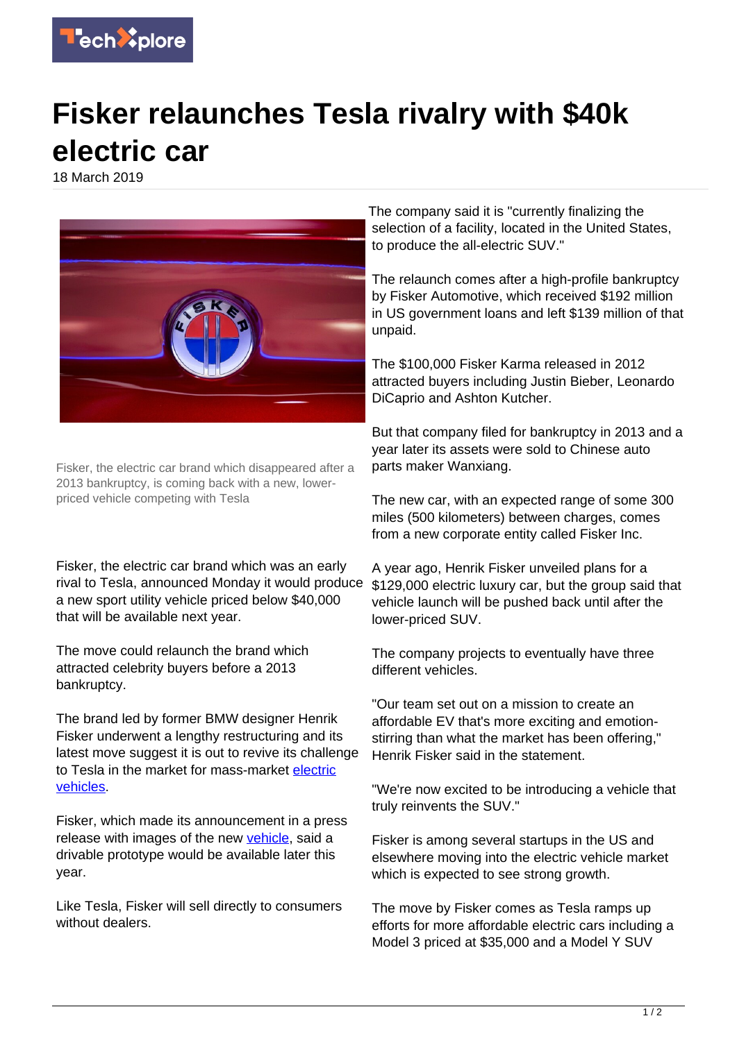

## **Fisker relaunches Tesla rivalry with \$40k electric car**

18 March 2019



Fisker, the electric car brand which disappeared after a 2013 bankruptcy, is coming back with a new, lowerpriced vehicle competing with Tesla

Fisker, the electric car brand which was an early rival to Tesla, announced Monday it would produce a new sport utility vehicle priced below \$40,000 that will be available next year.

The move could relaunch the brand which attracted celebrity buyers before a 2013 bankruptcy.

The brand led by former BMW designer Henrik Fisker underwent a lengthy restructuring and its latest move suggest it is out to revive its challenge to Tesla in the market for mass-market [electric](https://techxplore.com/tags/electric+vehicles/) [vehicles](https://techxplore.com/tags/electric+vehicles/).

Fisker, which made its announcement in a press release with images of the new [vehicle,](https://techxplore.com/tags/vehicle/) said a drivable prototype would be available later this year.

Like Tesla, Fisker will sell directly to consumers without dealers.

The company said it is "currently finalizing the selection of a facility, located in the United States, to produce the all-electric SUV."

The relaunch comes after a high-profile bankruptcy by Fisker Automotive, which received \$192 million in US government loans and left \$139 million of that unpaid.

The \$100,000 Fisker Karma released in 2012 attracted buyers including Justin Bieber, Leonardo DiCaprio and Ashton Kutcher.

But that company filed for bankruptcy in 2013 and a year later its assets were sold to Chinese auto parts maker Wanxiang.

The new car, with an expected range of some 300 miles (500 kilometers) between charges, comes from a new corporate entity called Fisker Inc.

A year ago, Henrik Fisker unveiled plans for a \$129,000 electric luxury car, but the group said that vehicle launch will be pushed back until after the lower-priced SUV.

The company projects to eventually have three different vehicles.

"Our team set out on a mission to create an affordable EV that's more exciting and emotionstirring than what the market has been offering," Henrik Fisker said in the statement.

"We're now excited to be introducing a vehicle that truly reinvents the SUV."

Fisker is among several startups in the US and elsewhere moving into the electric vehicle market which is expected to see strong growth.

The move by Fisker comes as Tesla ramps up efforts for more affordable electric cars including a Model 3 priced at \$35,000 and a Model Y SUV